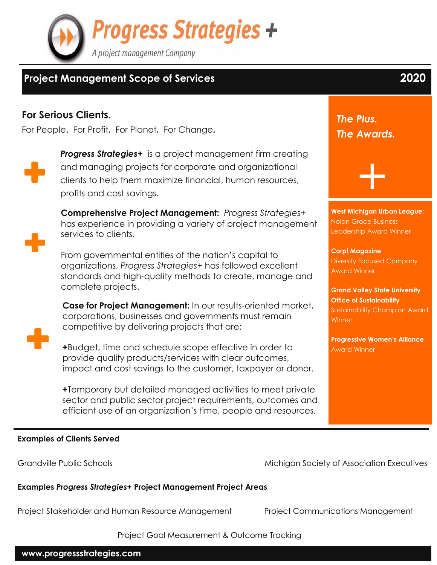

# **Project Management Scope of Services 2020**

## **For Serious Clients.**

For People**.** For Profit**.** For Planet**.** For Change**.**



**Progress Strategies+** is a project management firm creating and managing projects for corporate and organizational clients to help them maximize financial, human resources, profits and cost savings.



**Comprehensive Project Management:** *Progress Strategies+*  has experience in providing a variety of project management services to clients.

From governmental entities of the nation's capital to organizations, *Progress Strategies+* has followed excellent standards and high-quality methods to create, manage and complete projects.

**Case for Project Management:** In our results-oriented market, corporations, businesses and governments must remain competitive by delivering projects that are:



**+**Budget, time and schedule scope effective in order to provide quality products/services with clear outcomes, impact and cost savings to the customer, taxpayer or donor.

*+*Temporary but detailed managed activities to meet private sector and public sector project requirements, outcomes and efficient use of an organization's time, people and resources.

*The Plus. The Awards.*

**West Michigan Urban League:** Nolan Groce Business Leadership Award Winner

+

**Corp! Magazine** Diversity Focused Company Award Winner

**Grand Valley State University Office of Sustainability** Sustainability Champion Award Winner

**Progressive Women's Alliance** Award Winner

#### **Examples of Clients Served**

Grandville Public Schools **Michigan Society of Association Executives** 

**Examples** *Progress Strategies+* **Project Management Project Areas**

Project Stakeholder and Human Resource Management Project Communications Management

Project Goal Measurement & Outcome Tracking